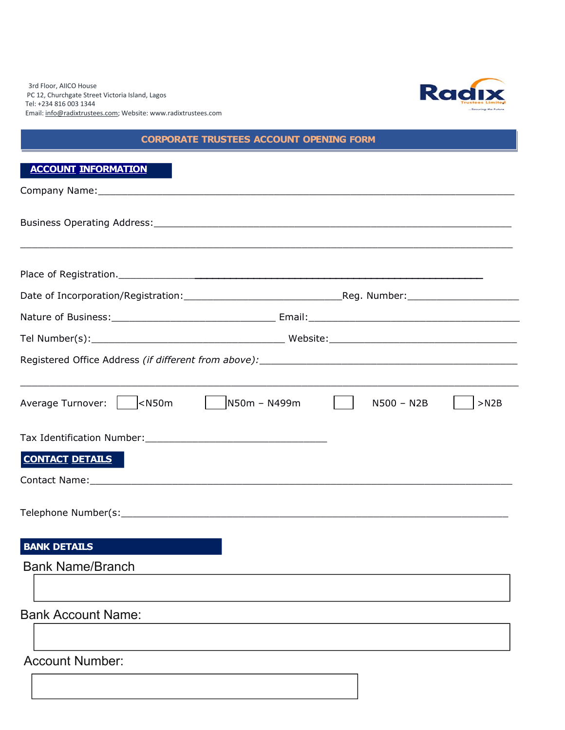3rd Floor, AIICO House PC 12, Churchgate Street Victoria Island, Lagos Tel: +234 816 003 1344 Email: [info@radixtrustees.com;](mailto:info@radixtrustees.com) Website: www.radixtrustees.com



## **CORPORATE TRUSTEES ACCOUNT OPENING FORM**

| Average Turnover: $\vert$ < N50m $\vert$ N50m - N499m $\vert$                                                                         |                                                                                                                       | N500 - N2B | $>$ N2B |
|---------------------------------------------------------------------------------------------------------------------------------------|-----------------------------------------------------------------------------------------------------------------------|------------|---------|
|                                                                                                                                       |                                                                                                                       |            |         |
| <b>CONTACT DETAILS</b>                                                                                                                |                                                                                                                       |            |         |
|                                                                                                                                       |                                                                                                                       |            |         |
|                                                                                                                                       |                                                                                                                       |            |         |
| <b>BANK DETAILS</b><br>and the state of the state of the state of the state of the state of the state of the state of the state of th |                                                                                                                       |            |         |
| <b>Bank Name/Branch</b>                                                                                                               | <u> 1989 - Johann John Stone, markin sanat masjid asl nashrida masjid asl nashrida masjid asl nashrida masjid asl</u> |            |         |
| <b>Bank Account Name:</b>                                                                                                             |                                                                                                                       |            |         |
| <b>Account Number:</b>                                                                                                                |                                                                                                                       |            |         |
|                                                                                                                                       |                                                                                                                       |            |         |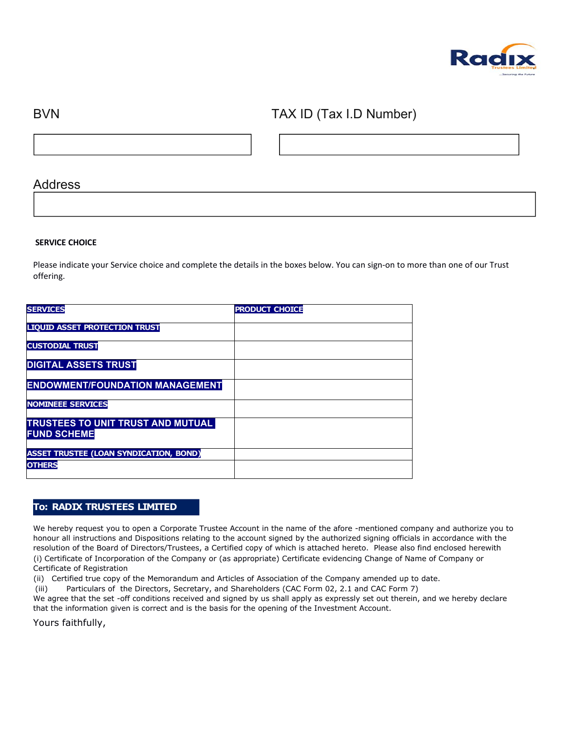

## BVN TAX ID (Tax I.D Number)

## Address

#### **SERVICE CHOICE**

Please indicate your Service choice and complete the details in the boxes below. You can sign-on to more than one of our Trust offering.

| <b>SERVICES</b>                                                | <b>PRODUCT CHOICE</b> |
|----------------------------------------------------------------|-----------------------|
| <b>LIQUID ASSET PROTECTION TRUST</b>                           |                       |
| <b>CUSTODIAL TRUST</b>                                         |                       |
| <b>DIGITAL ASSETS TRUST</b>                                    |                       |
| <b>ENDOWMENT/FOUNDATION MANAGEMENT</b>                         |                       |
| <b>NOMINEEE SERVICES</b>                                       |                       |
| <b>TRUSTEES TO UNIT TRUST AND MUTUAL</b><br><b>FUND SCHEME</b> |                       |
| <b>ASSET TRUSTEE (LOAN SYNDICATION, BOND)</b>                  |                       |
| <b>OTHERS</b>                                                  |                       |

### **To: RADIX TRUSTEES LIMITED**

We hereby request you to open a Corporate Trustee Account in the name of the afore -mentioned company and authorize you to honour all instructions and Dispositions relating to the account signed by the authorized signing officials in accordance with the resolution of the Board of Directors/Trustees, a Certified copy of which is attached hereto. Please also find enclosed herewith (i) Certificate of Incorporation of the Company or (as appropriate) Certificate evidencing Change of Name of Company or Certificate of Registration

(ii) Certified true copy of the Memorandum and Articles of Association of the Company amended up to date.

(iii) Particulars of the Directors, Secretary, and Shareholders (CAC Form 02, 2.1 and CAC Form 7)

We agree that the set -off conditions received and signed by us shall apply as expressly set out therein, and we hereby declare that the information given is correct and is the basis for the opening of the Investment Account.

Yours faithfully,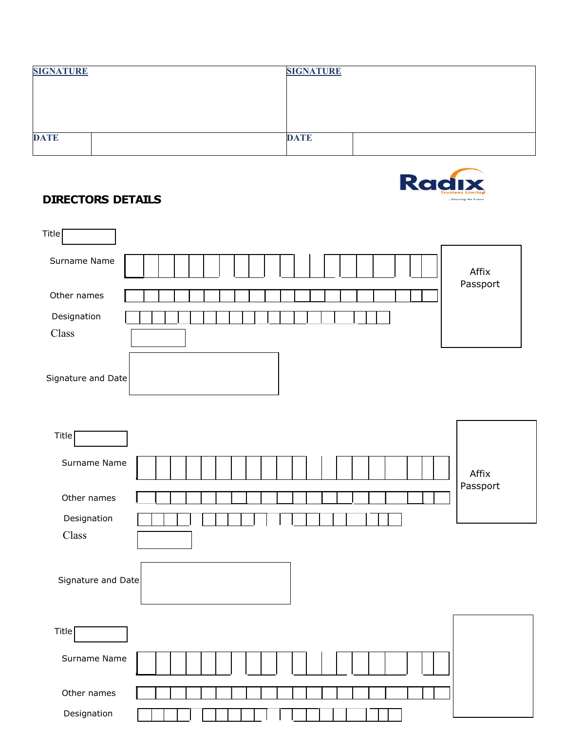| <b>SIGNATURE</b> | <b>SIGNATURE</b> |
|------------------|------------------|
|                  |                  |
|                  |                  |
|                  |                  |
| <b>DATE</b>      | <b>DATE</b>      |
|                  |                  |



# **DIRECTORS DETAILS**

| Title $\lceil$                                             |                   |  |
|------------------------------------------------------------|-------------------|--|
| Surname Name                                               | Affix<br>Passport |  |
| Other names                                                |                   |  |
| Designation                                                |                   |  |
| Class                                                      |                   |  |
| Signature and Date                                         |                   |  |
| <b>Title</b>                                               |                   |  |
| Surname Name                                               | Affix<br>Passport |  |
| Other names                                                |                   |  |
| Designation                                                |                   |  |
| Class                                                      |                   |  |
| Signature and Date                                         |                   |  |
| Title <sup>[</sup><br>the contract of the contract of<br>Ч |                   |  |
| Surname Name                                               |                   |  |
| Other names                                                |                   |  |
| Designation                                                |                   |  |